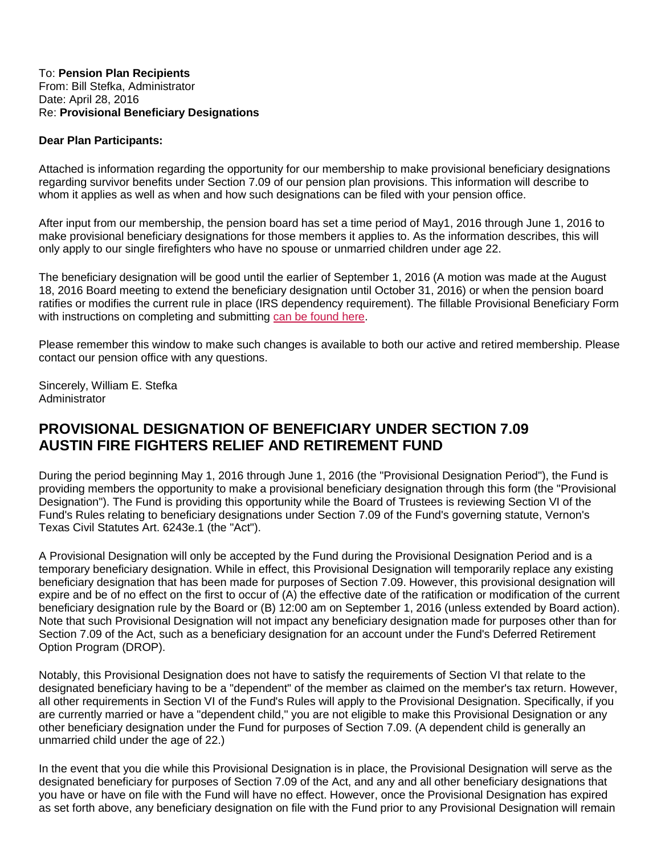#### To: **Pension Plan Recipients** From: Bill Stefka, Administrator Date: April 28, 2016 Re: **Provisional Beneficiary Designations**

### **Dear Plan Participants:**

Attached is information regarding the opportunity for our membership to make provisional beneficiary designations regarding survivor benefits under Section 7.09 of our pension plan provisions. This information will describe to whom it applies as well as when and how such designations can be filed with your pension office.

After input from our membership, the pension board has set a time period of May1, 2016 through June 1, 2016 to make provisional beneficiary designations for those members it applies to. As the information describes, this will only apply to our single firefighters who have no spouse or unmarried children under age 22.

The beneficiary designation will be good until the earlier of September 1, 2016 (A motion was made at the August 18, 2016 Board meeting to extend the beneficiary designation until October 31, 2016) or when the pension board ratifies or modifies the current rule in place (IRS dependency requirement). The fillable Provisional Beneficiary Form with instructions on completing and submitting [can be found here.](http://afrs.org/Pdf/May%202016%20Provisional%20Designation%20of%20Beneficiary%20Under%20Section%207%2009.pdf#page=4)

Please remember this window to make such changes is available to both our active and retired membership. Please contact our pension office with any questions.

Sincerely, William E. Stefka **Administrator** 

# **PROVISIONAL DESIGNATION OF BENEFICIARY UNDER SECTION 7.09 AUSTIN FIRE FIGHTERS RELIEF AND RETIREMENT FUND**

During the period beginning May 1, 2016 through June 1, 2016 (the "Provisional Designation Period"), the Fund is providing members the opportunity to make a provisional beneficiary designation through this form (the "Provisional Designation"). The Fund is providing this opportunity while the Board of Trustees is reviewing Section VI of the Fund's Rules relating to beneficiary designations under Section 7.09 of the Fund's governing statute, Vernon's Texas Civil Statutes Art. 6243e.1 (the "Act").

A Provisional Designation will only be accepted by the Fund during the Provisional Designation Period and is a temporary beneficiary designation. While in effect, this Provisional Designation will temporarily replace any existing beneficiary designation that has been made for purposes of Section 7.09. However, this provisional designation will expire and be of no effect on the first to occur of (A) the effective date of the ratification or modification of the current beneficiary designation rule by the Board or (B) 12:00 am on September 1, 2016 (unless extended by Board action). Note that such Provisional Designation will not impact any beneficiary designation made for purposes other than for Section 7.09 of the Act, such as a beneficiary designation for an account under the Fund's Deferred Retirement Option Program (DROP).

Notably, this Provisional Designation does not have to satisfy the requirements of Section VI that relate to the designated beneficiary having to be a "dependent" of the member as claimed on the member's tax return. However, all other requirements in Section VI of the Fund's Rules will apply to the Provisional Designation. Specifically, if you are currently married or have a "dependent child," you are not eligible to make this Provisional Designation or any other beneficiary designation under the Fund for purposes of Section 7.09. (A dependent child is generally an unmarried child under the age of 22.)

In the event that you die while this Provisional Designation is in place, the Provisional Designation will serve as the designated beneficiary for purposes of Section 7.09 of the Act, and any and all other beneficiary designations that you have or have on file with the Fund will have no effect. However, once the Provisional Designation has expired as set forth above, any beneficiary designation on file with the Fund prior to any Provisional Designation will remain